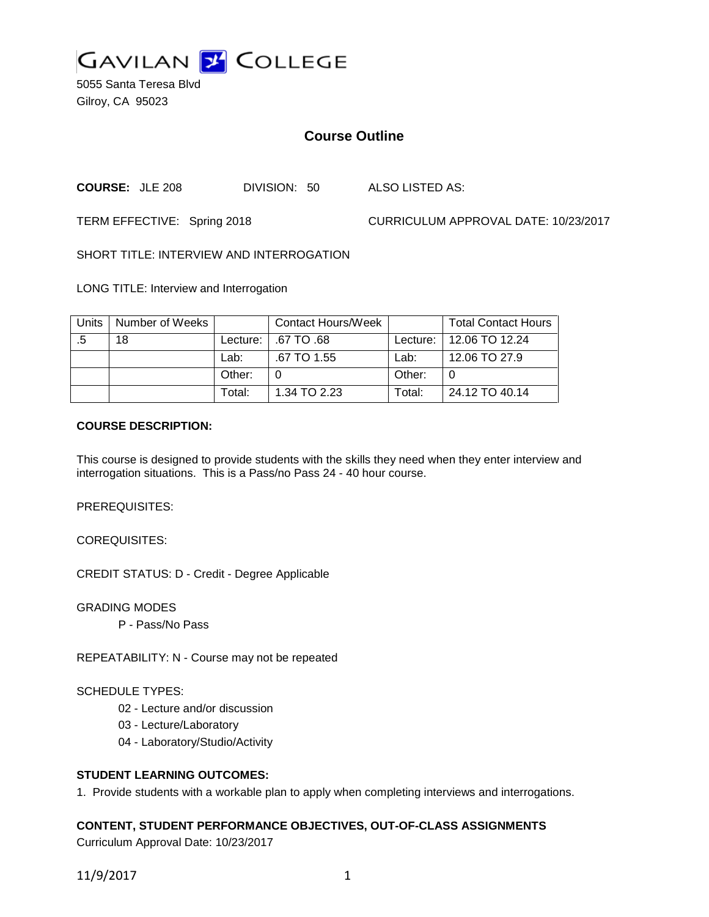

5055 Santa Teresa Blvd Gilroy, CA 95023

## **Course Outline**

**COURSE:** JLE 208 DIVISION: 50 ALSO LISTED AS:

TERM EFFECTIVE: Spring 2018 CURRICULUM APPROVAL DATE: 10/23/2017

SHORT TITLE: INTERVIEW AND INTERROGATION

LONG TITLE: Interview and Interrogation

| Units | Number of Weeks |            | Contact Hours/Week |        | <b>Total Contact Hours</b> |
|-------|-----------------|------------|--------------------|--------|----------------------------|
| .5    | 18              | Lecture: I | .67 TO .68         |        | Lecture:   12.06 TO 12.24  |
|       |                 | Lab:       | .67 TO 1.55        | Lab:   | 12.06 TO 27.9              |
|       |                 | Other:     |                    | Other: | 0                          |
|       |                 | Total:     | 1.34 TO 2.23       | Total: | 24.12 TO 40.14             |

### **COURSE DESCRIPTION:**

This course is designed to provide students with the skills they need when they enter interview and interrogation situations. This is a Pass/no Pass 24 - 40 hour course.

PREREQUISITES:

COREQUISITES:

CREDIT STATUS: D - Credit - Degree Applicable

GRADING MODES

P - Pass/No Pass

REPEATABILITY: N - Course may not be repeated

SCHEDULE TYPES:

- 02 Lecture and/or discussion
- 03 Lecture/Laboratory
- 04 Laboratory/Studio/Activity

### **STUDENT LEARNING OUTCOMES:**

1. Provide students with a workable plan to apply when completing interviews and interrogations.

### **CONTENT, STUDENT PERFORMANCE OBJECTIVES, OUT-OF-CLASS ASSIGNMENTS**

Curriculum Approval Date: 10/23/2017

11/9/2017 1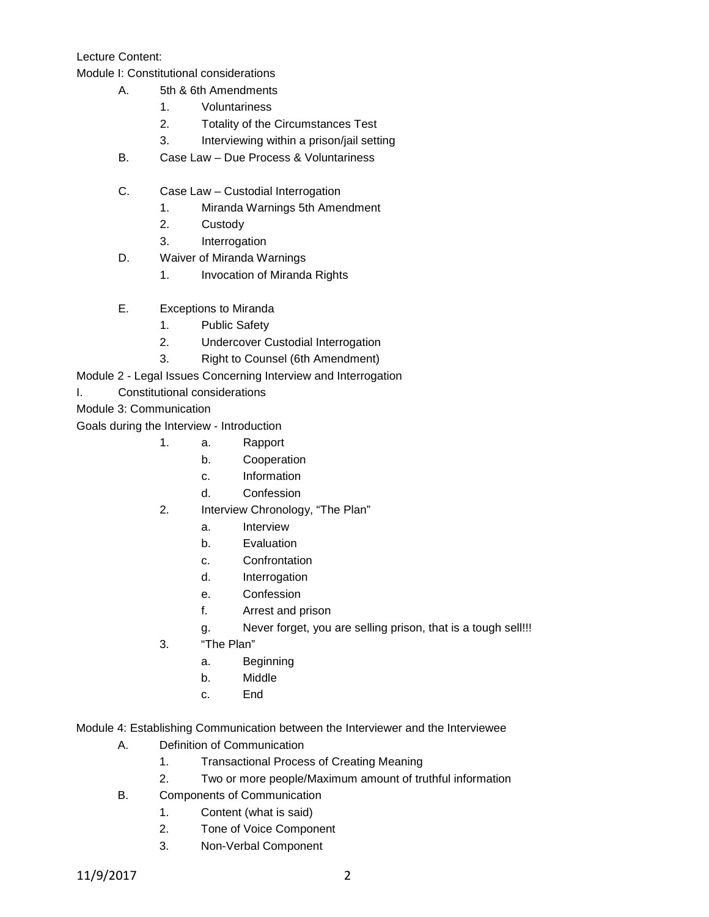Lecture Content:

Module I: Constitutional considerations

- A. 5th & 6th Amendments
	- 1. Voluntariness
	- 2. Totality of the Circumstances Test
	- 3. Interviewing within a prison/jail setting
- B. Case Law Due Process & Voluntariness
- C. Case Law Custodial Interrogation
	- 1. Miranda Warnings 5th Amendment
	- 2. Custody
	- 3. Interrogation
- D. Waiver of Miranda Warnings
	- 1. Invocation of Miranda Rights
- E. Exceptions to Miranda
	- 1. Public Safety
	- 2. Undercover Custodial Interrogation
	- 3. Right to Counsel (6th Amendment)

Module 2 - Legal Issues Concerning Interview and Interrogation

I. Constitutional considerations

Module 3: Communication

Goals during the Interview - Introduction

- 1. a. Rapport
	- b. Cooperation
	- c. Information
	- d. Confession
- 2. Interview Chronology, "The Plan"
	- a. Interview
	- b. Evaluation
	- c. Confrontation
	- d. Interrogation
	- e. Confession
	- f. Arrest and prison
	- g. Never forget, you are selling prison, that is a tough sell!!!
- 3. "The Plan"
	- a. Beginning
	- b. Middle
	- c. End

Module 4: Establishing Communication between the Interviewer and the Interviewee

- A. Definition of Communication
	- 1. Transactional Process of Creating Meaning
	- 2. Two or more people/Maximum amount of truthful information
- B. Components of Communication
	- 1. Content (what is said)
	- 2. Tone of Voice Component
	- 3. Non-Verbal Component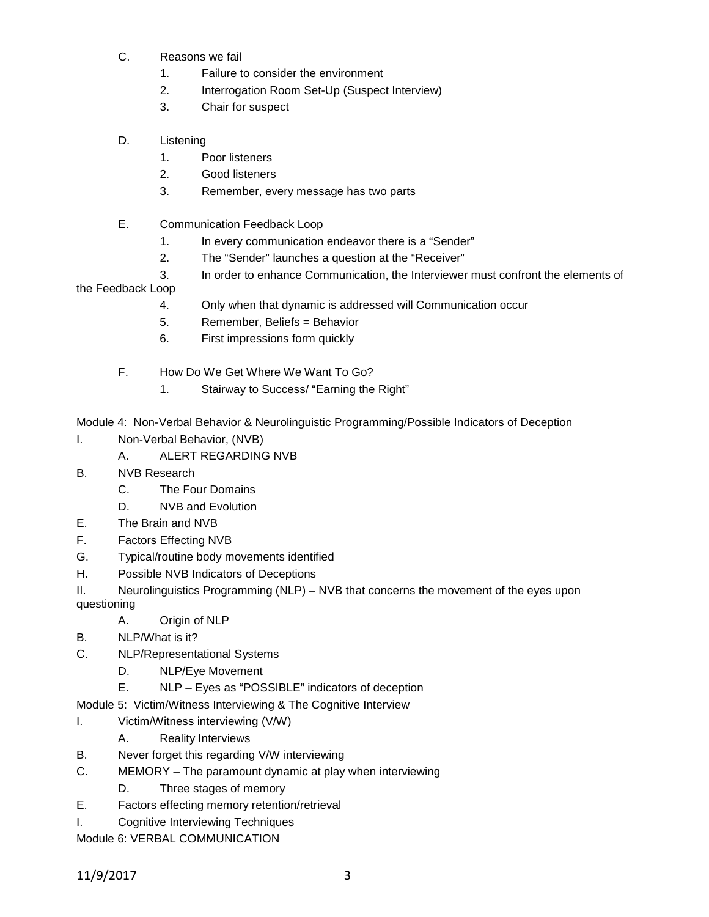- C. Reasons we fail
	- 1. Failure to consider the environment
	- 2. Interrogation Room Set-Up (Suspect Interview)
	- 3. Chair for suspect
- D. Listening
	- 1. Poor listeners
	- 2. Good listeners
	- 3. Remember, every message has two parts
- E. Communication Feedback Loop
	- 1. In every communication endeavor there is a "Sender"
	- 2. The "Sender" launches a question at the "Receiver"
	- 3. In order to enhance Communication, the Interviewer must confront the elements of

the Feedback Loop

- 4. Only when that dynamic is addressed will Communication occur
- 5. Remember, Beliefs = Behavior
- 6. First impressions form quickly
- F. How Do We Get Where We Want To Go?
	- 1. Stairway to Success/ "Earning the Right"

Module 4: Non-Verbal Behavior & Neurolinguistic Programming/Possible Indicators of Deception

- I. Non-Verbal Behavior, (NVB)
	- A. ALERT REGARDING NVB
- B. NVB Research
	- C. The Four Domains
	- D. NVB and Evolution
- E. The Brain and NVB
- F. Factors Effecting NVB
- G. Typical/routine body movements identified
- H. Possible NVB Indicators of Deceptions
- II. Neurolinguistics Programming (NLP) NVB that concerns the movement of the eyes upon questioning
	- A. Origin of NLP
- B. NLP/What is it?
- C. NLP/Representational Systems
	- D. NLP/Eye Movement
	- E. NLP Eyes as "POSSIBLE" indicators of deception
- Module 5: Victim/Witness Interviewing & The Cognitive Interview
- I. Victim/Witness interviewing (V/W)
	- A. Reality Interviews
- B. Never forget this regarding V/W interviewing
- C. MEMORY The paramount dynamic at play when interviewing
	- D. Three stages of memory
- E. Factors effecting memory retention/retrieval
- I. Cognitive Interviewing Techniques

Module 6: VERBAL COMMUNICATION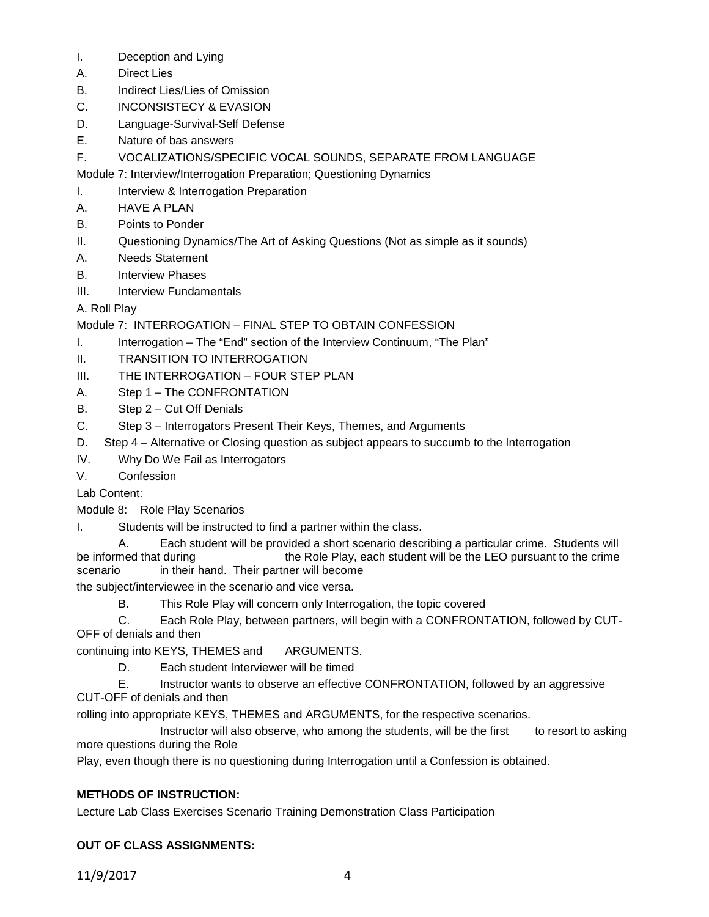- I. Deception and Lying
- A. Direct Lies
- B. Indirect Lies/Lies of Omission
- C. INCONSISTECY & EVASION
- D. Language-Survival-Self Defense
- E. Nature of bas answers
- F. VOCALIZATIONS/SPECIFIC VOCAL SOUNDS, SEPARATE FROM LANGUAGE

Module 7: Interview/Interrogation Preparation; Questioning Dynamics

- I. Interview & Interrogation Preparation
- A. HAVE A PLAN
- B. Points to Ponder
- II. Questioning Dynamics/The Art of Asking Questions (Not as simple as it sounds)
- A. Needs Statement
- B. Interview Phases
- III. Interview Fundamentals

# A. Roll Play

Module 7: INTERROGATION – FINAL STEP TO OBTAIN CONFESSION

- I. Interrogation The "End" section of the Interview Continuum, "The Plan"
- II. TRANSITION TO INTERROGATION
- III. THE INTERROGATION FOUR STEP PLAN
- A. Step 1 The CONFRONTATION
- B. Step 2 Cut Off Denials
- C. Step 3 Interrogators Present Their Keys, Themes, and Arguments
- D. Step 4 Alternative or Closing question as subject appears to succumb to the Interrogation
- IV. Why Do We Fail as Interrogators
- V. Confession

Lab Content:

- Module 8: Role Play Scenarios
- I. Students will be instructed to find a partner within the class.

A. Each student will be provided a short scenario describing a particular crime. Students will be informed that during the Role Play, each student will be the LEO pursuant to the crime scenario in their hand. Their partner will become

the subject/interviewee in the scenario and vice versa.

- B. This Role Play will concern only Interrogation, the topic covered
- C. Each Role Play, between partners, will begin with a CONFRONTATION, followed by CUT-OFF of denials and then

continuing into KEYS, THEMES and ARGUMENTS.

- D. Each student Interviewer will be timed
- E. Instructor wants to observe an effective CONFRONTATION, followed by an aggressive CUT-OFF of denials and then

rolling into appropriate KEYS, THEMES and ARGUMENTS, for the respective scenarios.

Instructor will also observe, who among the students, will be the first to resort to asking more questions during the Role

Play, even though there is no questioning during Interrogation until a Confession is obtained.

## **METHODS OF INSTRUCTION:**

Lecture Lab Class Exercises Scenario Training Demonstration Class Participation

## **OUT OF CLASS ASSIGNMENTS:**

11/9/2017 4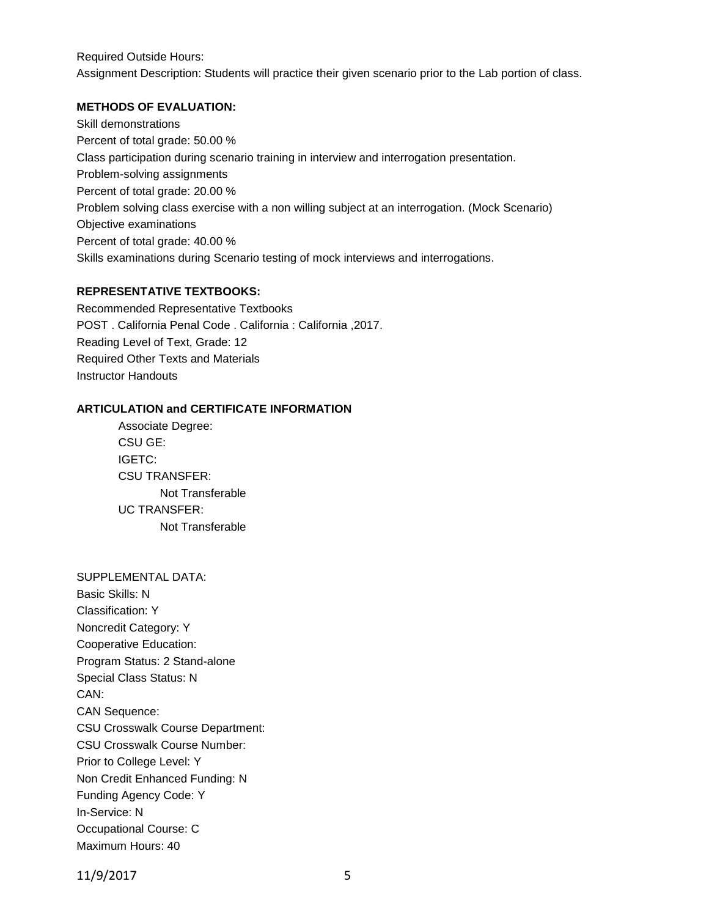Required Outside Hours: Assignment Description: Students will practice their given scenario prior to the Lab portion of class.

#### **METHODS OF EVALUATION:**

Skill demonstrations Percent of total grade: 50.00 % Class participation during scenario training in interview and interrogation presentation. Problem-solving assignments Percent of total grade: 20.00 % Problem solving class exercise with a non willing subject at an interrogation. (Mock Scenario) Objective examinations Percent of total grade: 40.00 % Skills examinations during Scenario testing of mock interviews and interrogations.

### **REPRESENTATIVE TEXTBOOKS:**

Recommended Representative Textbooks POST . California Penal Code . California : California ,2017. Reading Level of Text, Grade: 12 Required Other Texts and Materials Instructor Handouts

#### **ARTICULATION and CERTIFICATE INFORMATION**

Associate Degree: CSU GE: IGETC: CSU TRANSFER: Not Transferable UC TRANSFER: Not Transferable

### SUPPLEMENTAL DATA:

Basic Skills: N Classification: Y Noncredit Category: Y Cooperative Education: Program Status: 2 Stand-alone Special Class Status: N CAN: CAN Sequence: CSU Crosswalk Course Department: CSU Crosswalk Course Number: Prior to College Level: Y Non Credit Enhanced Funding: N Funding Agency Code: Y In-Service: N Occupational Course: C Maximum Hours: 40

11/9/2017 5